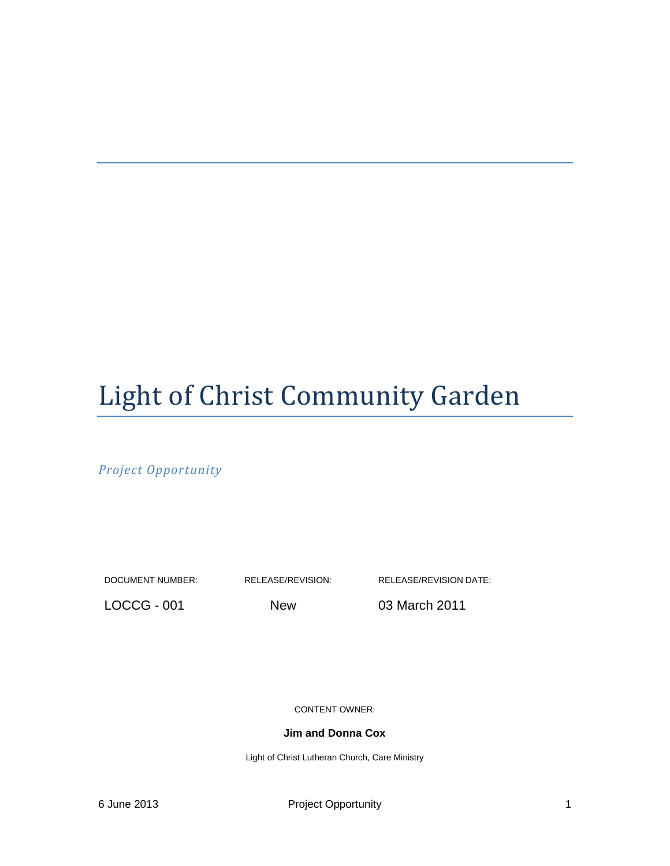# Light of Christ Community Garden

*Project Opportunity*

DOCUMENT NUMBER: RELEASE/REVISION: RELEASE/REVISION DATE:

LOCCG - 001 New 03 March 2011

CONTENT OWNER:

#### **Jim and Donna Cox**

Light of Christ Lutheran Church, Care Ministry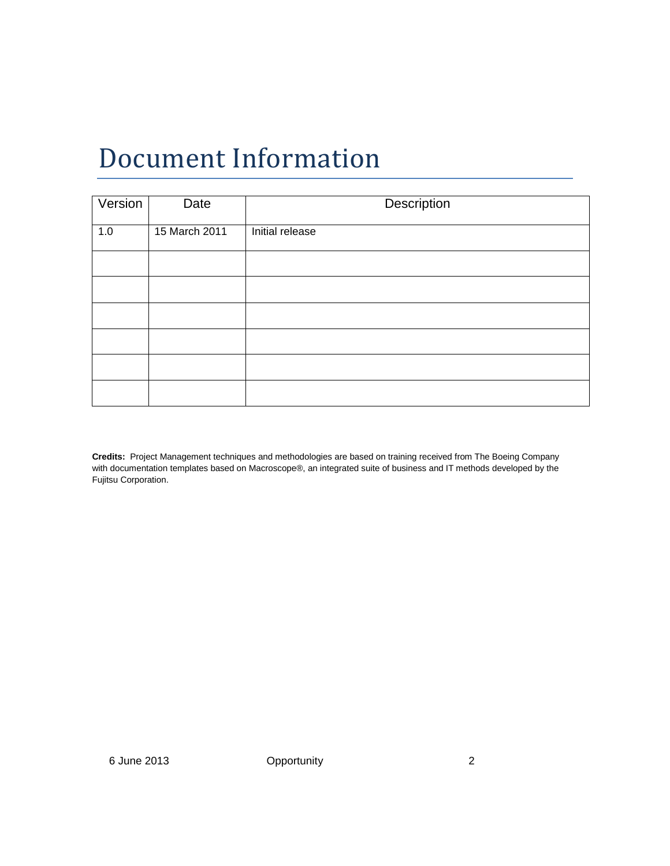## Document Information

| Version | Date          | Description     |
|---------|---------------|-----------------|
| 1.0     | 15 March 2011 | Initial release |
|         |               |                 |
|         |               |                 |
|         |               |                 |
|         |               |                 |
|         |               |                 |
|         |               |                 |

**Credits:** Project Management techniques and methodologies are based on training received from The Boeing Company with documentation templates based on Macroscope®, an integrated suite of business and IT methods developed by the Fujitsu Corporation.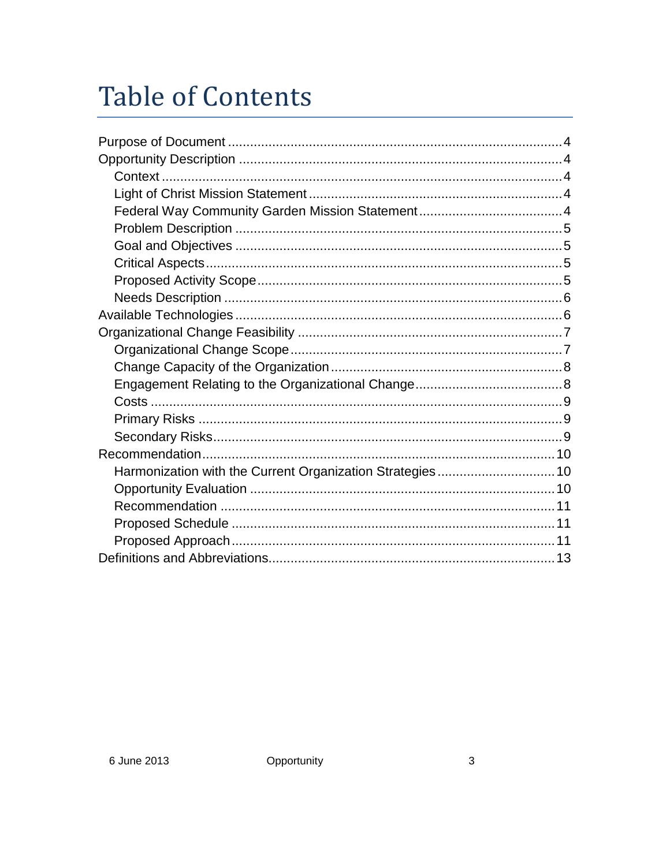## **Table of Contents**

| Harmonization with the Current Organization Strategies 10 |  |  |
|-----------------------------------------------------------|--|--|
|                                                           |  |  |
|                                                           |  |  |
|                                                           |  |  |
|                                                           |  |  |
|                                                           |  |  |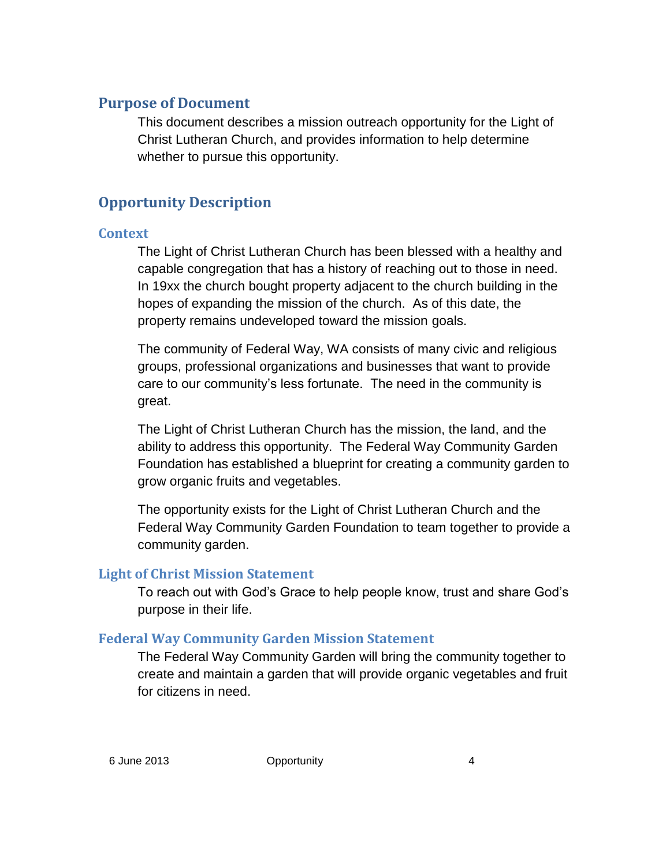## **Purpose of Document**

This document describes a mission outreach opportunity for the Light of Christ Lutheran Church, and provides information to help determine whether to pursue this opportunity.

## **Opportunity Description**

### **Context**

The Light of Christ Lutheran Church has been blessed with a healthy and capable congregation that has a history of reaching out to those in need. In 19xx the church bought property adjacent to the church building in the hopes of expanding the mission of the church. As of this date, the property remains undeveloped toward the mission goals.

The community of Federal Way, WA consists of many civic and religious groups, professional organizations and businesses that want to provide care to our community's less fortunate. The need in the community is great.

The Light of Christ Lutheran Church has the mission, the land, and the ability to address this opportunity. The Federal Way Community Garden Foundation has established a blueprint for creating a community garden to grow organic fruits and vegetables.

The opportunity exists for the Light of Christ Lutheran Church and the Federal Way Community Garden Foundation to team together to provide a community garden.

### **Light of Christ Mission Statement**

To reach out with God's Grace to help people know, trust and share God's purpose in their life.

### **Federal Way Community Garden Mission Statement**

The Federal Way Community Garden will bring the community together to create and maintain a garden that will provide organic vegetables and fruit for citizens in need.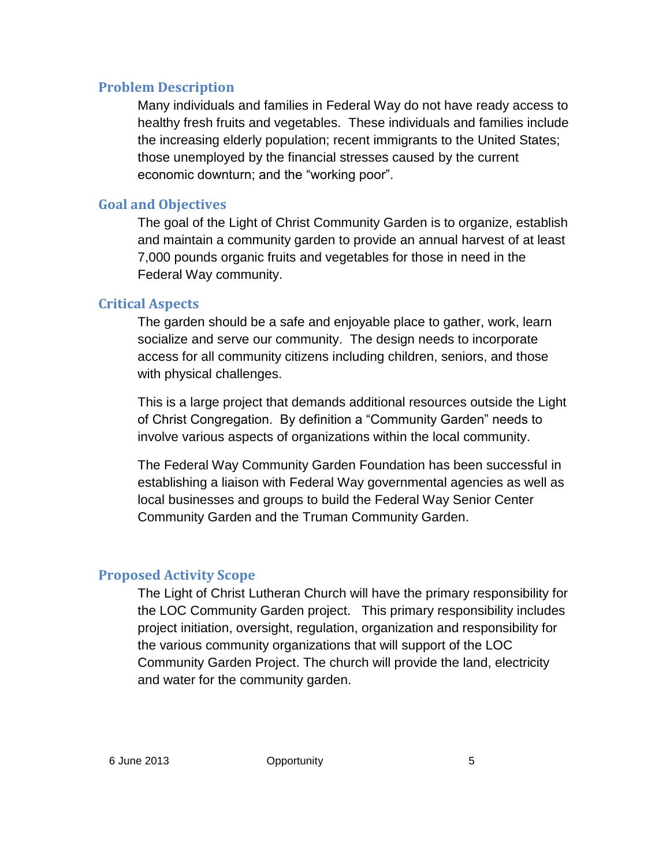#### **Problem Description**

Many individuals and families in Federal Way do not have ready access to healthy fresh fruits and vegetables. These individuals and families include the increasing elderly population; recent immigrants to the United States; those unemployed by the financial stresses caused by the current economic downturn; and the "working poor".

## **Goal and Objectives**

The goal of the Light of Christ Community Garden is to organize, establish and maintain a community garden to provide an annual harvest of at least 7,000 pounds organic fruits and vegetables for those in need in the Federal Way community.

## **Critical Aspects**

The garden should be a safe and enjoyable place to gather, work, learn socialize and serve our community. The design needs to incorporate access for all community citizens including children, seniors, and those with physical challenges.

This is a large project that demands additional resources outside the Light of Christ Congregation. By definition a "Community Garden" needs to involve various aspects of organizations within the local community.

The Federal Way Community Garden Foundation has been successful in establishing a liaison with Federal Way governmental agencies as well as local businesses and groups to build the Federal Way Senior Center Community Garden and the Truman Community Garden.

### **Proposed Activity Scope**

The Light of Christ Lutheran Church will have the primary responsibility for the LOC Community Garden project. This primary responsibility includes project initiation, oversight, regulation, organization and responsibility for the various community organizations that will support of the LOC Community Garden Project. The church will provide the land, electricity and water for the community garden.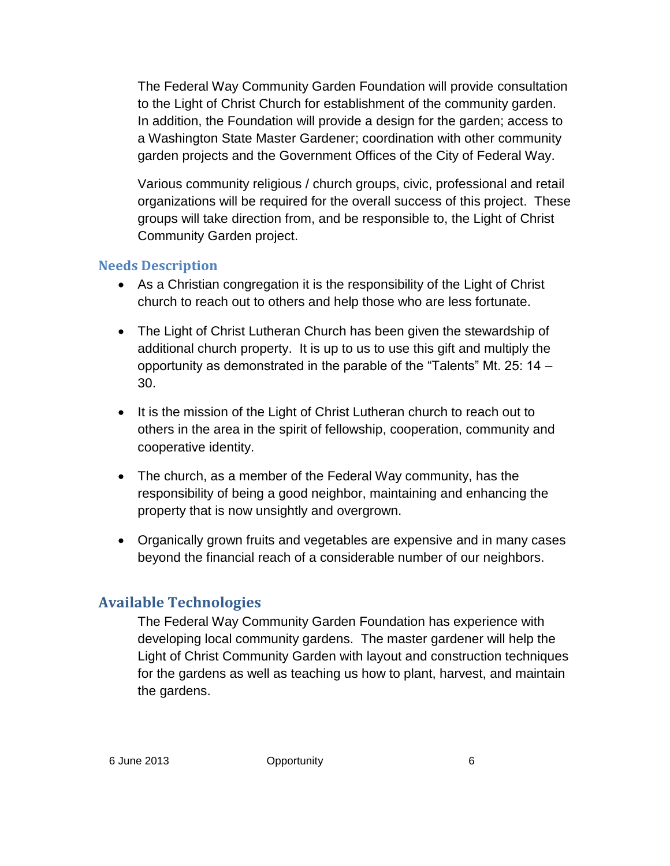The Federal Way Community Garden Foundation will provide consultation to the Light of Christ Church for establishment of the community garden. In addition, the Foundation will provide a design for the garden; access to a Washington State Master Gardener; coordination with other community garden projects and the Government Offices of the City of Federal Way.

Various community religious / church groups, civic, professional and retail organizations will be required for the overall success of this project. These groups will take direction from, and be responsible to, the Light of Christ Community Garden project.

## **Needs Description**

- As a Christian congregation it is the responsibility of the Light of Christ church to reach out to others and help those who are less fortunate.
- The Light of Christ Lutheran Church has been given the stewardship of additional church property. It is up to us to use this gift and multiply the opportunity as demonstrated in the parable of the "Talents" Mt. 25: 14 – 30.
- It is the mission of the Light of Christ Lutheran church to reach out to others in the area in the spirit of fellowship, cooperation, community and cooperative identity.
- The church, as a member of the Federal Way community, has the responsibility of being a good neighbor, maintaining and enhancing the property that is now unsightly and overgrown.
- Organically grown fruits and vegetables are expensive and in many cases beyond the financial reach of a considerable number of our neighbors.

## **Available Technologies**

The Federal Way Community Garden Foundation has experience with developing local community gardens. The master gardener will help the Light of Christ Community Garden with layout and construction techniques for the gardens as well as teaching us how to plant, harvest, and maintain the gardens.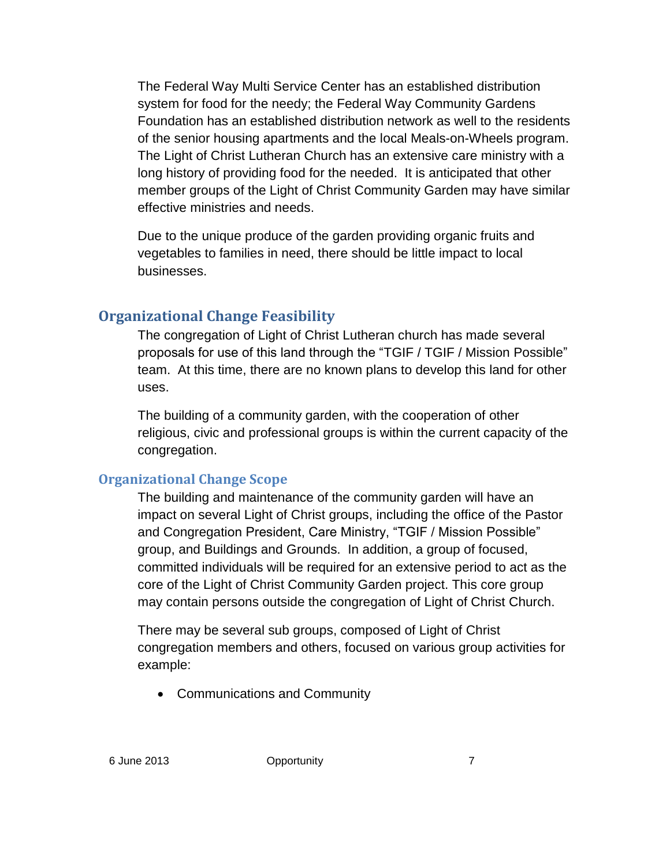The Federal Way Multi Service Center has an established distribution system for food for the needy; the Federal Way Community Gardens Foundation has an established distribution network as well to the residents of the senior housing apartments and the local Meals-on-Wheels program. The Light of Christ Lutheran Church has an extensive care ministry with a long history of providing food for the needed. It is anticipated that other member groups of the Light of Christ Community Garden may have similar effective ministries and needs.

Due to the unique produce of the garden providing organic fruits and vegetables to families in need, there should be little impact to local businesses.

## **Organizational Change Feasibility**

The congregation of Light of Christ Lutheran church has made several proposals for use of this land through the "TGIF / TGIF / Mission Possible" team. At this time, there are no known plans to develop this land for other uses.

The building of a community garden, with the cooperation of other religious, civic and professional groups is within the current capacity of the congregation.

## **Organizational Change Scope**

The building and maintenance of the community garden will have an impact on several Light of Christ groups, including the office of the Pastor and Congregation President, Care Ministry, "TGIF / Mission Possible" group, and Buildings and Grounds. In addition, a group of focused, committed individuals will be required for an extensive period to act as the core of the Light of Christ Community Garden project. This core group may contain persons outside the congregation of Light of Christ Church.

There may be several sub groups, composed of Light of Christ congregation members and others, focused on various group activities for example:

Communications and Community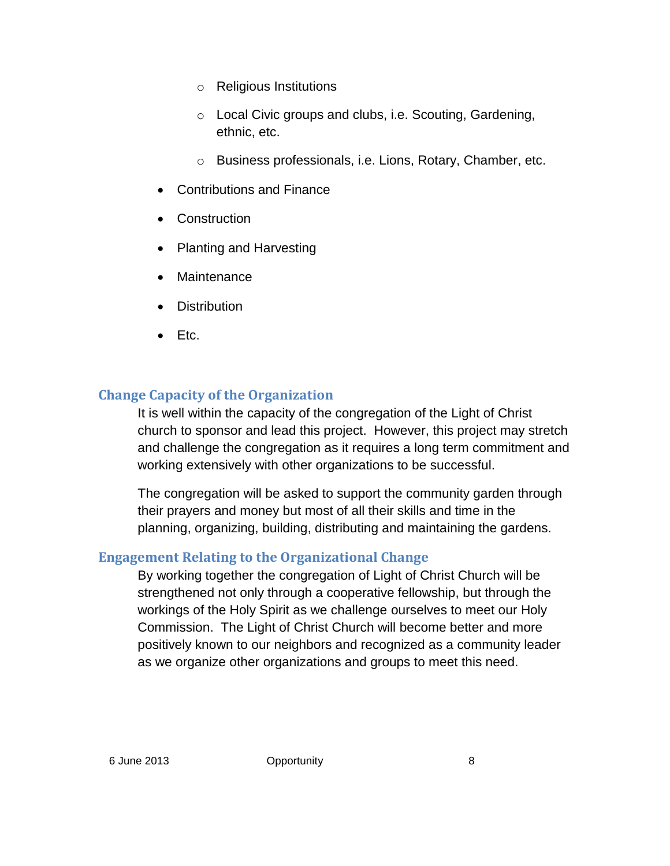- o Religious Institutions
- o Local Civic groups and clubs, i.e. Scouting, Gardening, ethnic, etc.
- o Business professionals, i.e. Lions, Rotary, Chamber, etc.
- Contributions and Finance
- Construction
- Planting and Harvesting
- **Maintenance**
- **Distribution**
- $\bullet$  Etc.

## **Change Capacity of the Organization**

It is well within the capacity of the congregation of the Light of Christ church to sponsor and lead this project. However, this project may stretch and challenge the congregation as it requires a long term commitment and working extensively with other organizations to be successful.

The congregation will be asked to support the community garden through their prayers and money but most of all their skills and time in the planning, organizing, building, distributing and maintaining the gardens.

### **Engagement Relating to the Organizational Change**

By working together the congregation of Light of Christ Church will be strengthened not only through a cooperative fellowship, but through the workings of the Holy Spirit as we challenge ourselves to meet our Holy Commission. The Light of Christ Church will become better and more positively known to our neighbors and recognized as a community leader as we organize other organizations and groups to meet this need.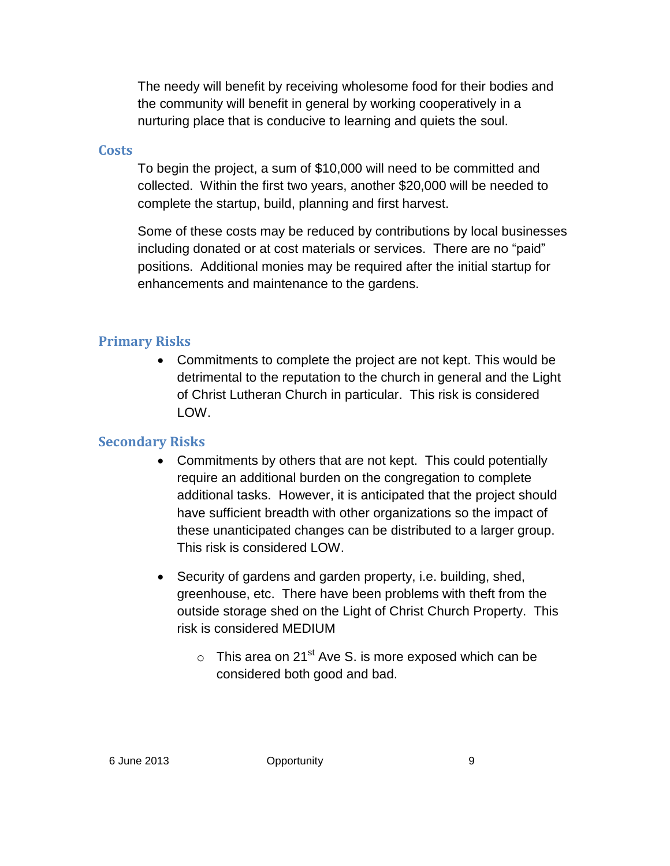The needy will benefit by receiving wholesome food for their bodies and the community will benefit in general by working cooperatively in a nurturing place that is conducive to learning and quiets the soul.

#### **Costs**

To begin the project, a sum of \$10,000 will need to be committed and collected. Within the first two years, another \$20,000 will be needed to complete the startup, build, planning and first harvest.

Some of these costs may be reduced by contributions by local businesses including donated or at cost materials or services. There are no "paid" positions. Additional monies may be required after the initial startup for enhancements and maintenance to the gardens.

## **Primary Risks**

 Commitments to complete the project are not kept. This would be detrimental to the reputation to the church in general and the Light of Christ Lutheran Church in particular. This risk is considered LOW.

## **Secondary Risks**

- Commitments by others that are not kept. This could potentially require an additional burden on the congregation to complete additional tasks. However, it is anticipated that the project should have sufficient breadth with other organizations so the impact of these unanticipated changes can be distributed to a larger group. This risk is considered LOW.
- Security of gardens and garden property, i.e. building, shed, greenhouse, etc. There have been problems with theft from the outside storage shed on the Light of Christ Church Property. This risk is considered MEDIUM
	- $\circ$  This area on 21<sup>st</sup> Ave S. is more exposed which can be considered both good and bad.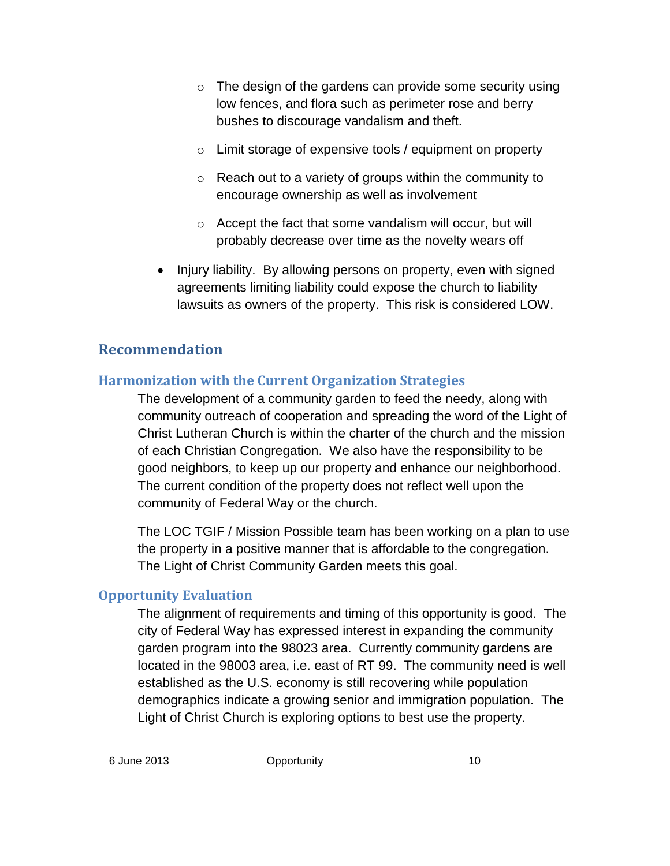- $\circ$  The design of the gardens can provide some security using low fences, and flora such as perimeter rose and berry bushes to discourage vandalism and theft.
- o Limit storage of expensive tools / equipment on property
- o Reach out to a variety of groups within the community to encourage ownership as well as involvement
- o Accept the fact that some vandalism will occur, but will probably decrease over time as the novelty wears off
- Injury liability. By allowing persons on property, even with signed agreements limiting liability could expose the church to liability lawsuits as owners of the property. This risk is considered LOW.

## **Recommendation**

## **Harmonization with the Current Organization Strategies**

The development of a community garden to feed the needy, along with community outreach of cooperation and spreading the word of the Light of Christ Lutheran Church is within the charter of the church and the mission of each Christian Congregation. We also have the responsibility to be good neighbors, to keep up our property and enhance our neighborhood. The current condition of the property does not reflect well upon the community of Federal Way or the church.

The LOC TGIF / Mission Possible team has been working on a plan to use the property in a positive manner that is affordable to the congregation. The Light of Christ Community Garden meets this goal.

### **Opportunity Evaluation**

The alignment of requirements and timing of this opportunity is good. The city of Federal Way has expressed interest in expanding the community garden program into the 98023 area. Currently community gardens are located in the 98003 area, i.e. east of RT 99. The community need is well established as the U.S. economy is still recovering while population demographics indicate a growing senior and immigration population. The Light of Christ Church is exploring options to best use the property.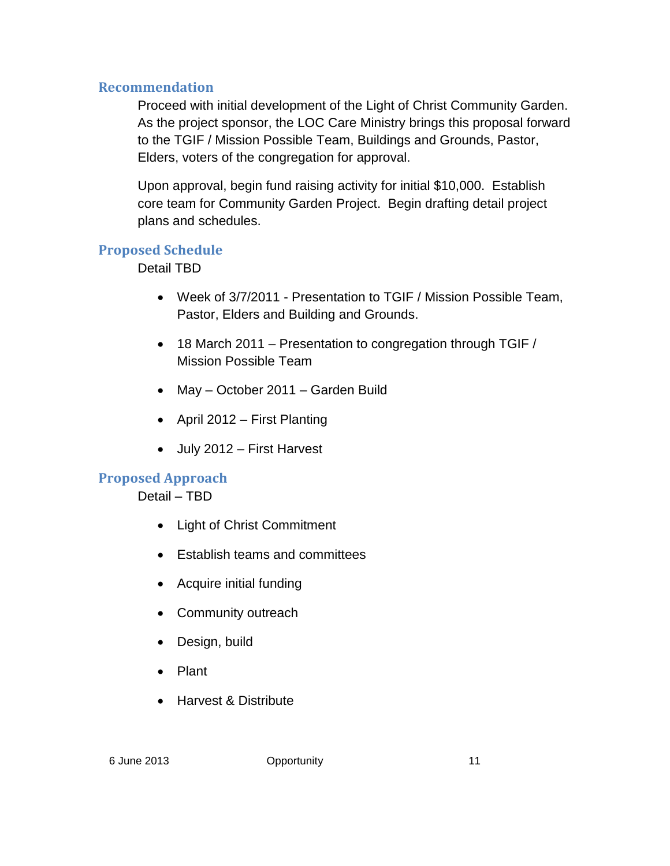#### **Recommendation**

Proceed with initial development of the Light of Christ Community Garden. As the project sponsor, the LOC Care Ministry brings this proposal forward to the TGIF / Mission Possible Team, Buildings and Grounds, Pastor, Elders, voters of the congregation for approval.

Upon approval, begin fund raising activity for initial \$10,000. Establish core team for Community Garden Project. Begin drafting detail project plans and schedules.

### **Proposed Schedule**

Detail TBD

- Week of 3/7/2011 Presentation to TGIF / Mission Possible Team, Pastor, Elders and Building and Grounds.
- 18 March 2011 Presentation to congregation through TGIF / Mission Possible Team
- May October 2011 Garden Build
- April 2012 First Planting
- July 2012 First Harvest

## **Proposed Approach**

Detail – TBD

- Light of Christ Commitment
- Establish teams and committees
- Acquire initial funding
- Community outreach
- Design, build
- Plant
- Harvest & Distribute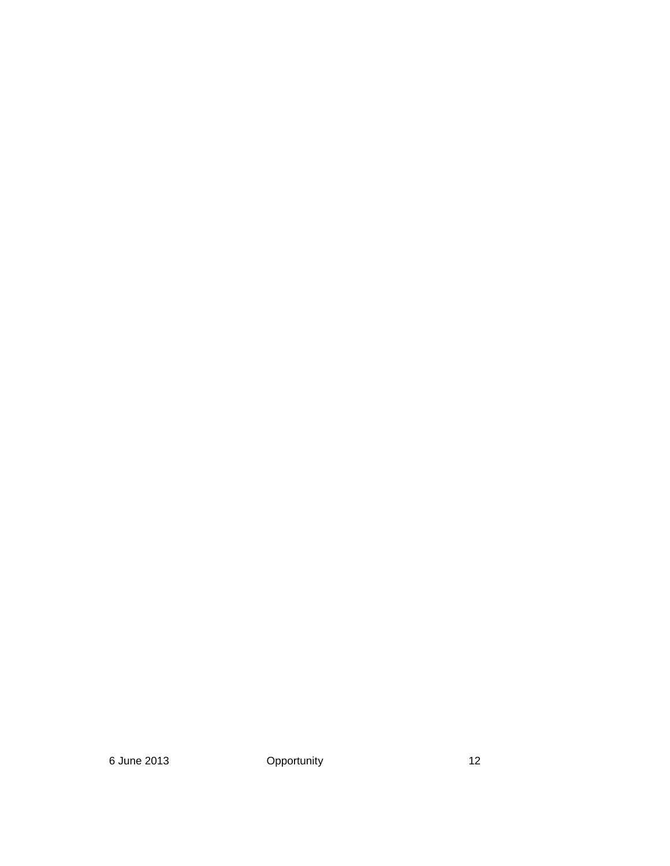6 June 2013 Opportunity 12